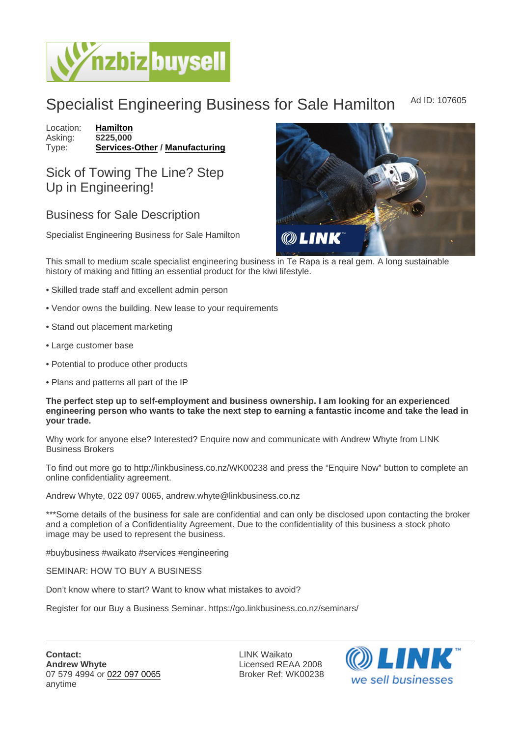## Specialist Engineering Business for Sale Hamilton Ad ID: 107605

Location: [Hamilton](https://www.nzbizbuysell.co.nz/businesses-for-sale/location/Hamilton) Asking: \$225,000<br>Type: Services-[Services-Other](https://www.nzbizbuysell.co.nz/businesses-for-sale/Services/New-Zealand) / [Manufacturing](https://www.nzbizbuysell.co.nz/businesses-for-sale/Manufacturing/New-Zealand)

Sick of Towing The Line? Step Up in Engineering!

## Business for Sale Description

Specialist Engineering Business for Sale Hamilton

This small to medium scale specialist engineering business in Te Rapa is a real gem. A long sustainable history of making and fitting an essential product for the kiwi lifestyle.

- Skilled trade staff and excellent admin person
- Vendor owns the building. New lease to your requirements
- Stand out placement marketing
- Large customer base
- Potential to produce other products
- Plans and patterns all part of the IP

The perfect step up to self-employment and business ownership. I am looking for an experienced engineering person who wants to take the next step to earning a fantastic income and take the lead in your trade.

Why work for anyone else? Interested? Enquire now and communicate with Andrew Whyte from LINK Business Brokers

To find out more go to http://linkbusiness.co.nz/WK00238 and press the "Enquire Now" button to complete an online confidentiality agreement.

Andrew Whyte, 022 097 0065, andrew.whyte@linkbusiness.co.nz

\*\*\*Some details of the business for sale are confidential and can only be disclosed upon contacting the broker and a completion of a Confidentiality Agreement. Due to the confidentiality of this business a stock photo image may be used to represent the business.

#buybusiness #waikato #services #engineering

SEMINAR: HOW TO BUY A BUSINESS

Don't know where to start? Want to know what mistakes to avoid?

Register for our Buy a Business Seminar. https://go.linkbusiness.co.nz/seminars/

LINK Waikato Licensed REAA 2008 Broker Ref: WK00238